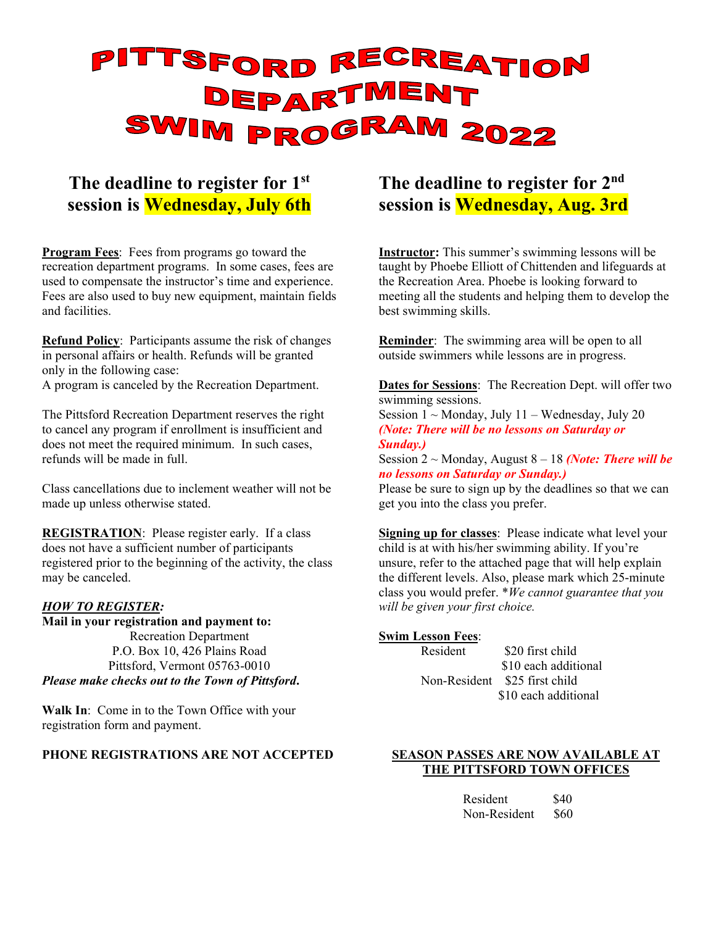# PITTSFORD RECREATION SWIM PROGRAM 2022

# **The deadline to register for 1st session is Wednesday, July 6th**

**Program Fees**: Fees from programs go toward the recreation department programs. In some cases, fees are used to compensate the instructor's time and experience. Fees are also used to buy new equipment, maintain fields and facilities.

**Refund Policy**: Participants assume the risk of changes in personal affairs or health. Refunds will be granted only in the following case:

A program is canceled by the Recreation Department.

The Pittsford Recreation Department reserves the right to cancel any program if enrollment is insufficient and does not meet the required minimum. In such cases, refunds will be made in full.

Class cancellations due to inclement weather will not be made up unless otherwise stated.

**REGISTRATION:** Please register early. If a class does not have a sufficient number of participants registered prior to the beginning of the activity, the class may be canceled.

#### *HOW TO REGISTER:*

#### **Mail in your registration and payment to:**  Recreation Department P.O. Box 10, 426 Plains Road Pittsford, Vermont 05763-0010 *Please make checks out to the Town of Pittsford***.**

**Walk In**: Come in to the Town Office with your registration form and payment.

#### **PHONE REGISTRATIONS ARE NOT ACCEPTED**

# **The deadline to register for 2nd session is Wednesday, Aug. 3rd**

**Instructor:** This summer's swimming lessons will be taught by Phoebe Elliott of Chittenden and lifeguards at the Recreation Area. Phoebe is looking forward to meeting all the students and helping them to develop the best swimming skills.

**Reminder**: The swimming area will be open to all outside swimmers while lessons are in progress.

**Dates for Sessions**: The Recreation Dept. will offer two swimming sessions.

Session  $1 \sim$  Monday, July  $11 -$  Wednesday, July 20 *(Note: There will be no lessons on Saturday or Sunday.)*

Session 2 ~ Monday, August 8 – 18 *(Note: There will be no lessons on Saturday or Sunday.)*

Please be sure to sign up by the deadlines so that we can get you into the class you prefer.

**Signing up for classes**: Please indicate what level your child is at with his/her swimming ability. If you're unsure, refer to the attached page that will help explain the different levels. Also, please mark which 25-minute class you would prefer. \**We cannot guarantee that you will be given your first choice.* 

#### **Swim Lesson Fees**:

Resident \$20 first child \$10 each additional Non-Resident \$25 first child \$10 each additional

#### **SEASON PASSES ARE NOW AVAILABLE AT THE PITTSFORD TOWN OFFICES**

| Resident     | \$40 |
|--------------|------|
| Non-Resident | \$60 |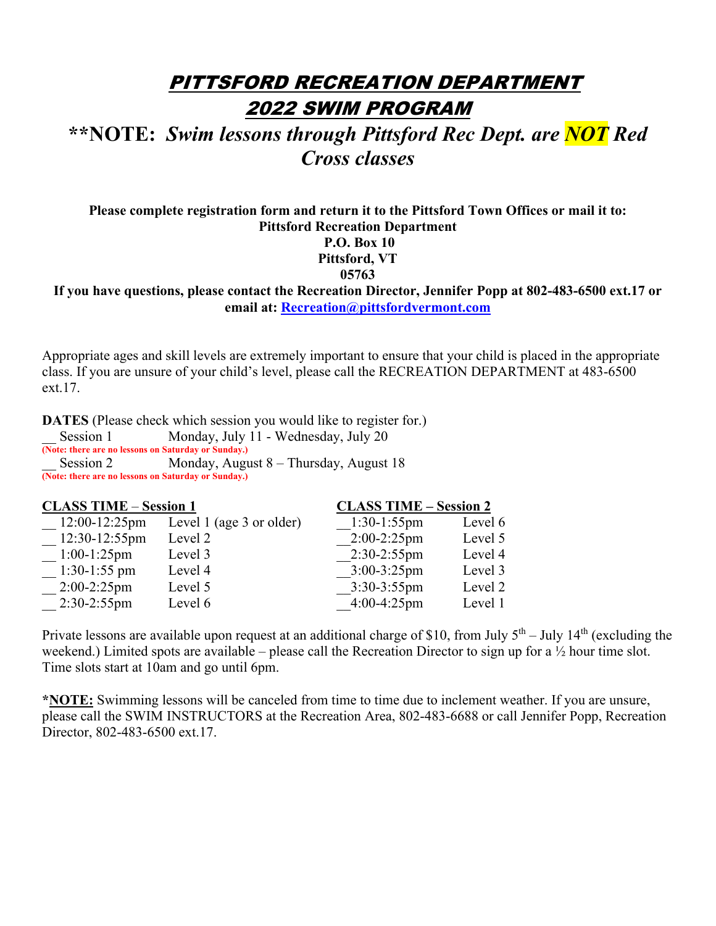# PITTSFORD RECREATION DEPARTMENT 2022 SWIM PROGRAM

# **\*\*NOTE:** *Swim lessons through Pittsford Rec Dept. are NOT Red Cross classes*

**Please complete registration form and return it to the Pittsford Town Offices or mail it to: Pittsford Recreation Department P.O. Box 10 Pittsford, VT 05763 If you have questions, please contact the Recreation Director, Jennifer Popp at 802-483-6500 ext.17 or email at: Recreation@pittsfordvermont.com**

Appropriate ages and skill levels are extremely important to ensure that your child is placed in the appropriate class. If you are unsure of your child's level, please call the RECREATION DEPARTMENT at 483-6500 ext.17.

**DATES** (Please check which session you would like to register for.) Session 1 Monday, July 11 - Wednesday, July 20

**(Note: there are no lessons on Saturday or Sunday.)** Session 2 Monday, August 8 – Thursday, August 18 **(Note: there are no lessons on Saturday or Sunday.)**

| <b>CLASS TIME - Session 1</b> |                          |                | <b>CLASS TIME - Session 2</b> |  |  |
|-------------------------------|--------------------------|----------------|-------------------------------|--|--|
| 12:00-12:25pm                 | Level 1 (age 3 or older) | $1:30-1:55$ pm | Level 6                       |  |  |
| 12:30-12:55pm                 | Level 2                  | $2:00-2:25$ pm | Level 5                       |  |  |
| $1:00-1:25$ pm                | Level 3                  | $2:30-2:55$ pm | Level 4                       |  |  |
| $1:30-1:55$ pm                | Level 4                  | $3:00-3:25$ pm | Level 3                       |  |  |
| $2:00-2:25$ pm                | Level 5                  | $3:30-3:55$ pm | Level 2                       |  |  |
| $2:30-2:55$ pm                | Level 6                  | $4:00-4:25$ pm | Level 1                       |  |  |

Private lessons are available upon request at an additional charge of \$10, from July  $5<sup>th</sup>$  – July 14<sup>th</sup> (excluding the weekend.) Limited spots are available – please call the Recreation Director to sign up for a ½ hour time slot. Time slots start at 10am and go until 6pm.

**\*NOTE:** Swimming lessons will be canceled from time to time due to inclement weather. If you are unsure, please call the SWIM INSTRUCTORS at the Recreation Area, 802-483-6688 or call Jennifer Popp, Recreation Director, 802-483-6500 ext.17.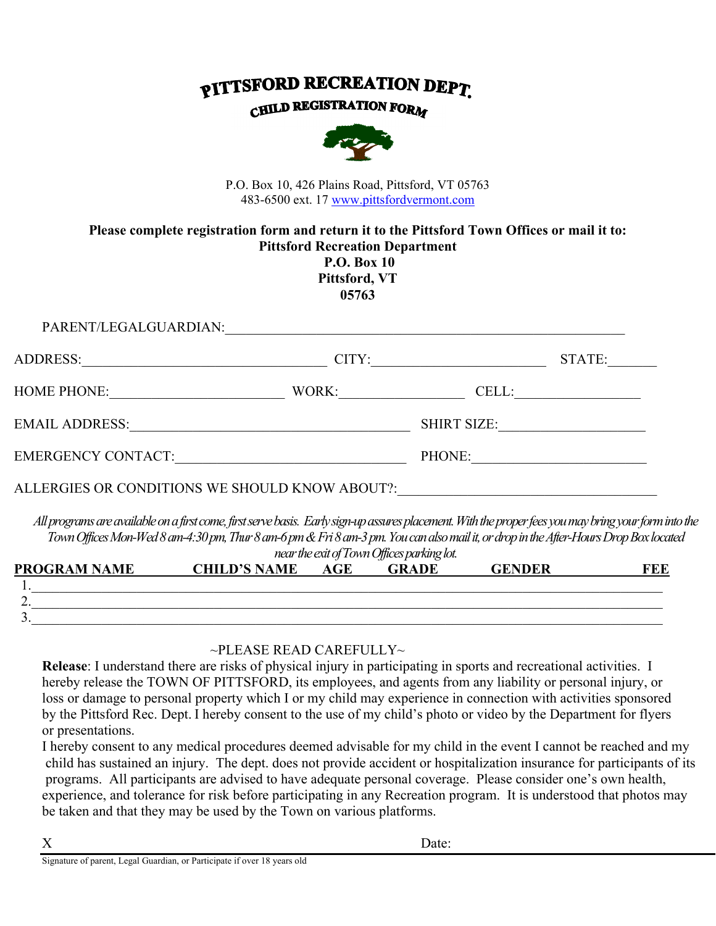# **PITTSFORD RECREATION DEPT**

## **CHILD REGISTRATION FORM**



P.O. Box 10, 426 Plains Road, Pittsford, VT 05763 483-6500 ext. 17 www.pittsfordvermont.com

#### **Please complete registration form and return it to the Pittsford Town Offices or mail it to: Pittsford Recreation Department P.O. Box 10 Pittsford, VT**

**05763** 

| PARENT/LEGALGUARDIAN:                          |       |                    |        |
|------------------------------------------------|-------|--------------------|--------|
| ADDRESS:                                       | CITY: |                    | STATE: |
| <b>HOME PHONE:</b>                             | WORK: | CELL:              |        |
| <b>EMAIL ADDRESS:</b>                          |       | <b>SHIRT SIZE:</b> |        |
| <b>EMERGENCY CONTACT:</b>                      |       | PHONE:             |        |
| ALLERGIES OR CONDITIONS WE SHOULD KNOW ABOUT?: |       |                    |        |
|                                                |       |                    |        |

*All programs are available on a first come, first serve basis. Early sign-up assures placement. With the proper fees you may bring your form into the Town Offices Mon-Wed 8 am-4:30 pm, Thur 8 am-6 pm & Fri 8 am-3 pm. You can also mail it, or drop in the After-Hours Drop Box located near the exit of Town Offices parking lot.* 

|                     | had the ant of form offices partires too. |     |              |               |     |  |  |
|---------------------|-------------------------------------------|-----|--------------|---------------|-----|--|--|
| <b>PROGRAM NAME</b> | <b>CHILD'S NAME</b>                       | AGE | <b>GRADE</b> | <b>GENDER</b> | TEE |  |  |
|                     |                                           |     |              |               |     |  |  |
| <u>.</u>            |                                           |     |              |               |     |  |  |
| ັ                   |                                           |     |              |               |     |  |  |
|                     |                                           |     |              |               |     |  |  |

## $\sim$ PLEASE READ CAREFULLY $\sim$

**Release**: I understand there are risks of physical injury in participating in sports and recreational activities. I hereby release the TOWN OF PITTSFORD, its employees, and agents from any liability or personal injury, or loss or damage to personal property which I or my child may experience in connection with activities sponsored by the Pittsford Rec. Dept. I hereby consent to the use of my child's photo or video by the Department for flyers or presentations.

I hereby consent to any medical procedures deemed advisable for my child in the event I cannot be reached and my child has sustained an injury. The dept. does not provide accident or hospitalization insurance for participants of its programs. All participants are advised to have adequate personal coverage. Please consider one's own health, experience, and tolerance for risk before participating in any Recreation program. It is understood that photos may be taken and that they may be used by the Town on various platforms.

X Date:

Signature of parent, Legal Guardian, or Participate if over 18 years old